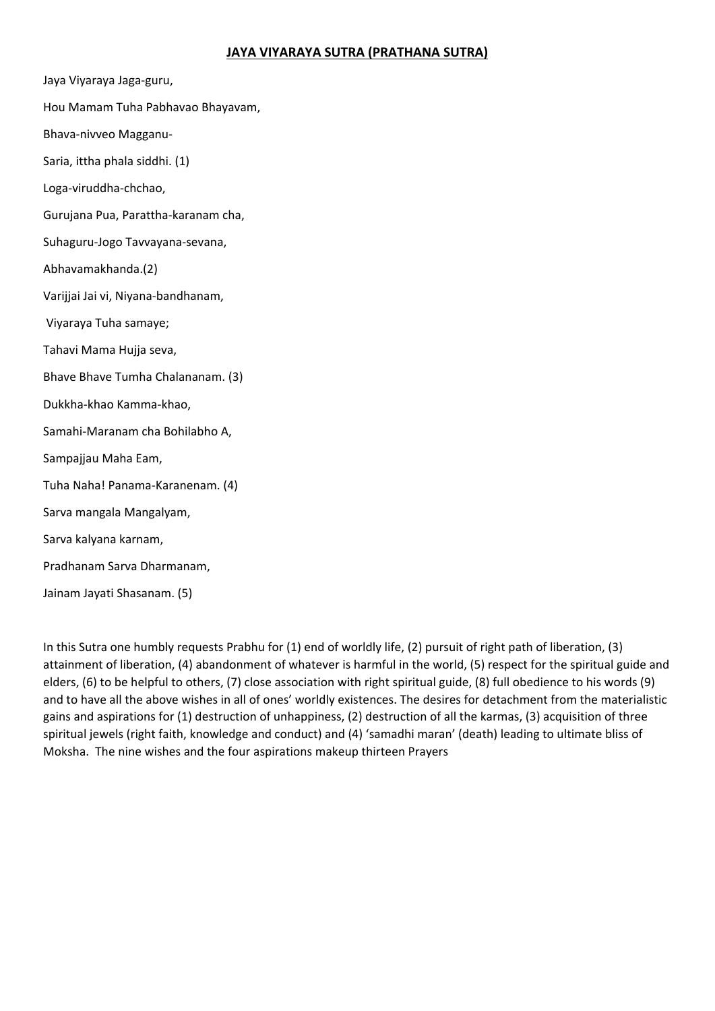## **JAYA VIYARAYA SUTRA (PRATHANA SUTRA)**

Jaya Viyaraya Jaga‐guru,

- Hou Mamam Tuha Pabhavao Bhayavam,
- Bhava‐nivveo Magganu‐
- Saria, ittha phala siddhi. (1)
- Loga‐viruddha‐chchao,
- Gurujana Pua, Parattha‐karanam cha,
- Suhaguru‐Jogo Tavvayana‐sevana,
- Abhavamakhanda.(2)
- Varijjai Jai vi, Niyana‐bandhanam,
- Viyaraya Tuha samaye;
- Tahavi Mama Hujja seva,
- Bhave Bhave Tumha Chalananam. (3)
- Dukkha‐khao Kamma‐khao,
- Samahi‐Maranam cha Bohilabho A,
- Sampajjau Maha Eam,
- Tuha Naha! Panama‐Karanenam. (4)
- Sarva mangala Mangalyam,
- Sarva kalyana karnam,
- Pradhanam Sarva Dharmanam,
- Jainam Jayati Shasanam. (5)

In this Sutra one humbly requests Prabhu for (1) end of worldly life, (2) pursuit of right path of liberation, (3) attainment of liberation, (4) abandonment of whatever is harmful in the world, (5) respect for the spiritual guide and elders, (6) to be helpful to others, (7) close association with right spiritual guide, (8) full obedience to his words (9) and to have all the above wishes in all of ones' worldly existences. The desires for detachment from the materialistic gains and aspirations for (1) destruction of unhappiness, (2) destruction of all the karmas, (3) acquisition of three spiritual jewels (right faith, knowledge and conduct) and (4) 'samadhi maran' (death) leading to ultimate bliss of Moksha. The nine wishes and the four aspirations makeup thirteen Prayers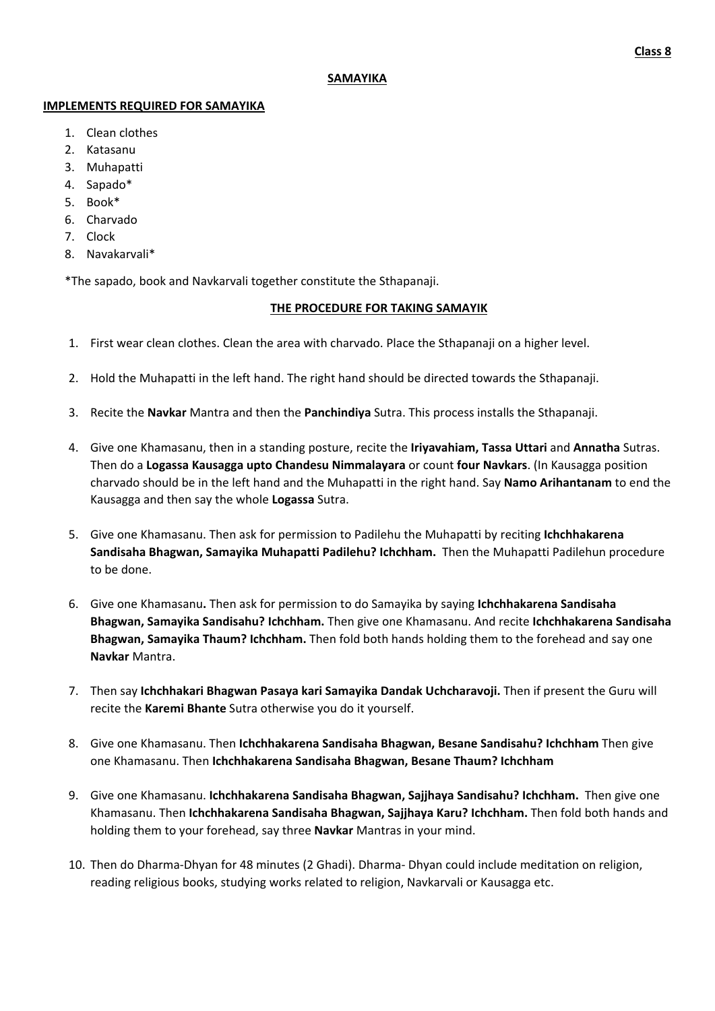#### **SAMAYIKA**

#### **IMPLEMENTS REQUIRED FOR SAMAYIKA**

- 1. Clean clothes
- 2. Katasanu
- 3. Muhapatti
- 4. Sapado\*
- 5. Book\*
- 6. Charvado
- 7. Clock
- 8. Navakarvali\*

\*The sapado, book and Navkarvali together constitute the Sthapanaji.

### **THE PROCEDURE FOR TAKING SAMAYIK**

- 1. First wear clean clothes. Clean the area with charvado. Place the Sthapanaji on a higher level.
- 2. Hold the Muhapatti in the left hand. The right hand should be directed towards the Sthapanaji.
- 3. Recite the **Navkar** Mantra and then the **Panchindiya** Sutra. This process installs the Sthapanaji.
- 4. Give one Khamasanu, then in a standing posture, recite the **Iriyavahiam, Tassa Uttari** and **Annatha** Sutras. Then do a **Logassa Kausagga upto Chandesu Nimmalayara** or count **four Navkars**. (In Kausagga position charvado should be in the left hand and the Muhapatti in the right hand. Say **Namo Arihantanam** to end the Kausagga and then say the whole **Logassa** Sutra.
- 5. Give one Khamasanu. Then ask for permission to Padilehu the Muhapatti by reciting **Ichchhakarena**  Sandisaha Bhagwan, Samayika Muhapatti Padilehu? Ichchham. Then the Muhapatti Padilehun procedure to be done.
- 6. Give one Khamasanu**.** Then ask for permission to do Samayika by saying **Ichchhakarena Sandisaha Bhagwan, Samayika Sandisahu? Ichchham.** Then give one Khamasanu. And recite **Ichchhakarena Sandisaha Bhagwan, Samayika Thaum? Ichchham.** Then fold both hands holding them to the forehead and say one **Navkar** Mantra.
- 7. Then say **Ichchhakari Bhagwan Pasaya kari Samayika Dandak Uchcharavoji.** Then if present the Guru will recite the **Karemi Bhante** Sutra otherwise you do it yourself.
- 8. Give one Khamasanu. Then **Ichchhakarena Sandisaha Bhagwan, Besane Sandisahu? Ichchham** Then give one Khamasanu. Then **Ichchhakarena Sandisaha Bhagwan, Besane Thaum? Ichchham**
- 9. Give one Khamasanu. **Ichchhakarena Sandisaha Bhagwan, Sajjhaya Sandisahu? Ichchham.**  Then give one Khamasanu. Then **Ichchhakarena Sandisaha Bhagwan, Sajjhaya Karu? Ichchham.** Then fold both hands and holding them to your forehead, say three **Navkar** Mantras in your mind.
- 10. Then do Dharma‐Dhyan for 48 minutes (2 Ghadi). Dharma‐ Dhyan could include meditation on religion, reading religious books, studying works related to religion, Navkarvali or Kausagga etc.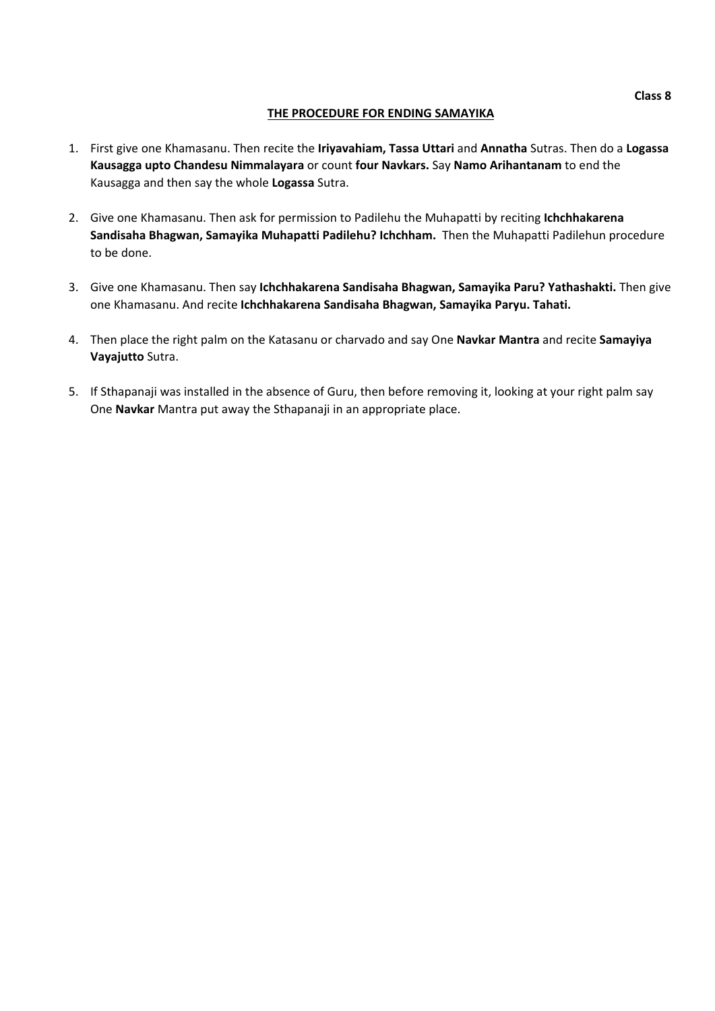### **THE PROCEDURE FOR ENDING SAMAYIKA**

- 1. First give one Khamasanu. Then recite the **Iriyavahiam, Tassa Uttari** and **Annatha** Sutras. Then do a **Logassa Kausagga upto Chandesu Nimmalayara** or count **four Navkars.** Say **Namo Arihantanam** to end the Kausagga and then say the whole **Logassa** Sutra.
- 2. Give one Khamasanu. Then ask for permission to Padilehu the Muhapatti by reciting **Ichchhakarena**  Sandisaha Bhagwan, Samayika Muhapatti Padilehu? Ichchham. Then the Muhapatti Padilehun procedure to be done.
- 3. Give one Khamasanu. Then say **Ichchhakarena Sandisaha Bhagwan, Samayika Paru? Yathashakti.** Then give one Khamasanu. And recite **Ichchhakarena Sandisaha Bhagwan, Samayika Paryu. Tahati.**
- 4. Then place the right palm on the Katasanu or charvado and say One **Navkar Mantra** and recite **Samayiya Vayajutto** Sutra.
- 5. If Sthapanaji was installed in the absence of Guru, then before removing it, looking at your right palm say One **Navkar** Mantra put away the Sthapanaji in an appropriate place.